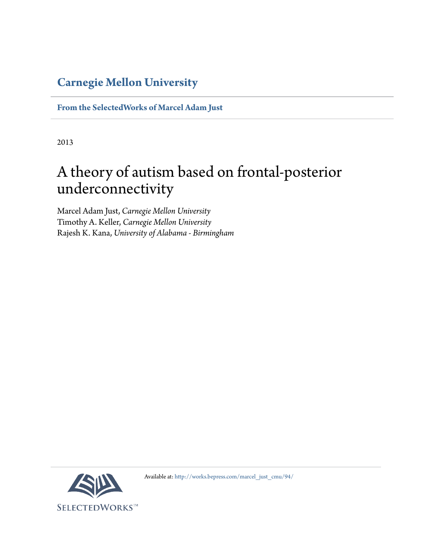# **[Carnegie Mellon University](http://www.cmu.edu/)**

**[From the SelectedWorks of Marcel Adam Just](http://works.bepress.com/marcel_just_cmu/)**

2013

# A theory of autism based on frontal-posterior underconnectivity

Marcel Adam Just, *Carnegie Mellon University* Timothy A. Keller, *Carnegie Mellon University* Rajesh K. Kana, *University of Alabama - Birmingham*



Available at: [http://works.bepress.com/marcel\\_just\\_cmu/94/](http://works.bepress.com/marcel_just_cmu/94/)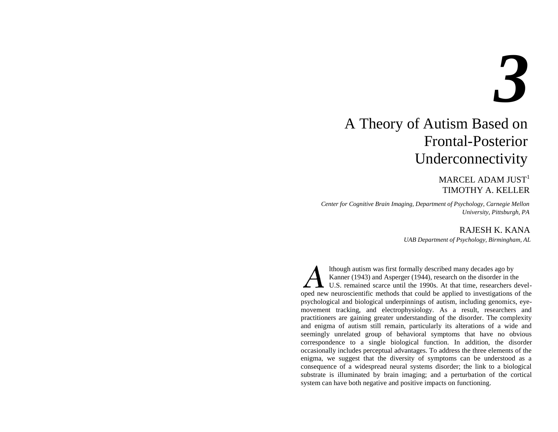# *3*

# A Theory of Autism Based on Frontal-Posterior Underconnectivity

# MARCEL ADAM JUST $1$ TIMOTHY A. KELLER

*Center for Cognitive Brain Imaging, Department of Psychology, Carnegie Mellon University, Pittsburgh, PA* 

# RAJESH K. KANA

*UAB Department of Psychology, Birmingham, AL* 

 lthough autism was first formally described many decades ago by Kanner (1943) and Asperger (1944), research on the disorder in the U.S. remained scarce until the 1990s. At that time, researchers developed new neuroscientific methods that could be applied to investigations of the psychological and biological underpinnings of autism, including genomics, eyemovement tracking, and electrophysiology. As a result, researchers and practitioners are gaining greater understanding of the disorder. The complexity and enigma of autism still remain, particularly its alterations of a wide and seemingly unrelated group of behavioral symptoms that have no obvious correspondence to a single biological function. In addition, the disorder occasionally includes perceptual advantages. To address the three elements of the enigma, we suggest that the diversity of symptoms can be understood as a consequence of a widespread neural systems disorder; the link to a biological substrate is illuminated by brain imaging; and a perturbation of the cortical system can have both negative and positive impacts on functioning.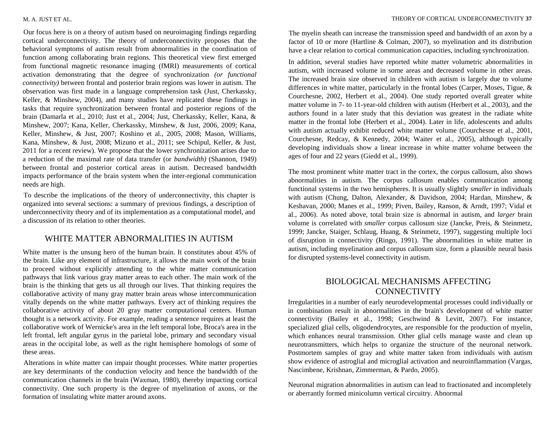#### M. A. JUST ET AL.

Our focus here is on a theory of autism based on neuroimaging findings regarding cortical underconnectivity. The theory of underconnectivity proposes that the behavioral symptoms of autism result from abnormalities in the coordination of function among collaborating brain regions. This theoretical view first emerged from functional magnetic resonance imaging (fMRI) measurements of cortical activation demonstrating that the degree of synchronization *(or functional connectivity)* between frontal and posterior brain regions was lower in autism. The observation was first made in a language comprehension task (Just, Cherkassky, Keller, & Minshew, 2004), and many studies have replicated these findings in tasks that require synchronization between frontal and posterior regions of the brain (Damarla et al., 2010; Just et al., 2004; Just, Cherkassky, Keller, Kana, & Minshew, 2007; Kana, Keller, Cherkassky, Minshew, & Just, 2006, 2009; Kana, Keller, Minshew, & Just, 2007; Koshino et al., 2005, 2008; Mason, Williams, Kana, Minshew, & Just, 2008; Mizuno et al., 2011; see Schipul, Keller, & Just, 2011 for a recent review). We propose that the lower synchronization arises due to a reduction of the maximal rate of data transfer (or *bandwidth)* (Shannon, 1949) between frontal and posterior cortical areas in autism. Decreased bandwidth impacts performance of the brain system when the inter-regional communication needs are high.

To describe the implications of the theory of underconnectivity, this chapter is organized into several sections: a summary of previous findings, a description of underconnectivity theory and of its implementation as a computational model, and a discussion of its relation to other theories.

#### WHITE MATTER ABNORMALITIES IN AUTISM

White matter is the unsung hero of the human brain. It constitutes about 45% of the brain. Like any element of infrastructure, it allows the main work of the brain to proceed without explicitly attending to the white matter communication pathways that link various gray matter areas to each other. The main work of the brain is the thinking that gets us all through our lives. That thinking requires the collaborative activity of many gray matter brain areas whose intercommunication vitally depends on the white matter pathways. Every act of thinking requires the collaborative activity of about 20 gray matter computational centers. Human thought is a network activity. For example, reading a sentence requires at least the collaborative work of Wernicke's area in the left temporal lobe, Broca's area in the left frontal, left angular gyrus in the parietal lobe, primary and secondary visual areas in the occipital lobe, as well as the right hemisphere homologs of some of these areas.

Alterations in white matter can impair thought processes. White matter properties are key determinants of the conduction velocity and hence the bandwidth of the communication channels in the brain (Waxman, 1980), thereby impacting cortical connectivity. One such property is the degree of myelination of axons, or the formation of insulating white matter around axons.

The myelin sheath can increase the transmission speed and bandwidth of an axon by a factor of 10 or more (Hartline & Colman, 2007), so myelination and its distribution have a clear relation to cortical communication capacities, including synchronization.

In addition, several studies have reported white matter volumetric abnormalities in autism, with increased volume in some areas and decreased volume in other areas. The increased brain size observed in children with autism is largely due to volume differences in white matter, particularly in the frontal lobes (Carper, Moses, Tigue, & Courchesne, 2002, Herbert et al., 2004). One study reported overall greater white matter volume in 7- to 11-year-old children with autism (Herbert et al., 2003), and the authors found in a later study that this deviation was greatest in the radiate white matter in the frontal lobe (Herbert et al., 2004). Later in life, adolescents and adults with autism actually exhibit reduced white matter volume (Courchesne et al., 2001, Courchesne, Redcay, & Kennedy, 2004; Waiter et al., 2005), although typically developing individuals show a linear increase in white matter volume between the ages of four and 22 years (Giedd et al., 1999).

The most prominent white matter tract in the cortex, the corpus callosum, also shows abnormalities in autism. The corpus callosum enables communication among functional systems in the two hemispheres. It is usually slightly *smaller* in individuals with autism (Chung, Dalton, Alexander, & Davidson, 2004; Hardan, Minshew, & Keshavan, 2000; Manes et al., 1999; Piven, Bailey, Ranson, & Arndt, 1997; Vidal et al., 2006). As noted above, total brain size is abnormal in autism, and *larger* brain volume is correlated with *smaller* corpus callosum size (Jancke, Preis, & Steinmetz, 1999; Jancke, Staiger, Schlaug, Huang, & Steinmetz, 1997), suggesting multiple loci of disruption in connectivity (Ringo, 1991). The abnormalities in white matter in autism, including myelination and corpus callosum size, form a plausible neural basis for disrupted systems-level connectivity in autism.

# BIOLOGICAL MECHANISMS AFFECTING **CONNECTIVITY**

Irregularities in a number of early neurodevelopmental processes could individually or in combination result in abnormalities in the brain's development of white matter connectivity (Bailey et al., 1998; Geschwind & Levitt, 2007). For instance, specialized glial cells, oligodendrocytes, are responsible for the production of myelin, which enhances neural transmission. Other glial cells manage waste and clean up neurotransmitters, which helps to organize the structure of the neuronal network. Postmortem samples of gray and white matter taken from individuals with autism show evidence of astroglial and microglial activation and neuroinflammation (Vargas, Nascimbene, Krishnan, Zimmerman, & Pardo, 2005).

Neuronal migration abnormalities in autism can lead to fractionated and incompletely or aberrantly formed minicolumn vertical circuitry. Abnormal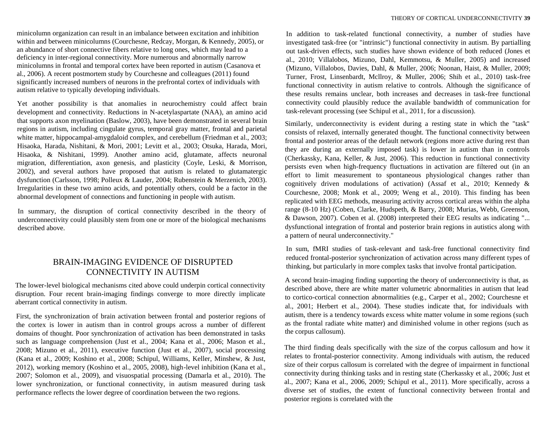minicolumn organization can result in an imbalance between excitation and inhibition within and between minicolumns (Courchesne, Redcay, Morgan, & Kennedy, 2005), or an abundance of short connective fibers relative to long ones, which may lead to a deficiency in inter-regional connectivity. More numerous and abnormally narrow minicolumns in frontal and temporal cortex have been reported in autism (Casanova et al., 2006). A recent postmortem study by Courchesne and colleagues (2011) found significantly increased numbers of neurons in the prefrontal cortex of individuals with autism relative to typically developing individuals.

Yet another possibility is that anomalies in neurochemistry could affect brain development and connectivity. Reductions in N-acetylaspartate (NAA), an amino acid that supports axon myelination (Baslow, 2003), have been demonstrated in several brain regions in autism, including cingulate gyrus, temporal gray matter, frontal and parietal white matter, hippocampal-amygdaloid complex, and cerebellum (Friedman et al., 2003; Hisaoka, Harada, Nishitani, & Mori, 2001; Levitt et al., 2003; Otsuka, Harada, Mori, Hisaoka, & Nishitani, 1999). Another amino acid, glutamate, affects neuronal migration, differentiation, axon genesis, and plasticity (Coyle, Leski, & Morrison, 2002), and several authors have proposed that autism is related to glutamatergic dysfunction (Carlsson, 1998; Polleux & Lauder, 2004; Rubenstein & Merzenich, 2003). Irregularities in these two amino acids, and potentially others, could be a factor in the abnormal development of connections and functioning in people with autism.

In summary, the disruption of cortical connectivity described in the theory of underconnectivity could plausibly stem from one or more of the biological mechanisms described above.

# BRAIN-IMAGING EVIDENCE OF DISRUPTED CONNECTIVITY IN AUTISM

The lower-level biological mechanisms cited above could underpin cortical connectivity disruption. Four recent brain-imaging findings converge to more directly implicate aberrant cortical connectivity in autism.

First, the synchronization of brain activation between frontal and posterior regions of the cortex is lower in autism than in control groups across a number of different domains of thought. Poor synchronization of activation has been demonstrated in tasks such as language comprehension (Just et al., 2004; Kana et al., 2006; Mason et al., 2008; Mizuno et al., 2011), executive function (Just et al., 2007), social processing (Kana et al., 2009; Koshino et al., 2008; Schipul, Williams, Keller, Minshew, & Just, 2012), working memory (Koshino et al., 2005, 2008), high-level inhibition (Kana et al., 2007; Solomon et al., 2009), and visuospatial processing (Damarla et al., 2010). The lower synchronization, or functional connectivity, in autism measured during task performance reflects the lower degree of coordination between the two regions.

In addition to task-related functional connectivity, a number of studies have investigated task-free (or "intrinsic") functional connectivity in autism. By partialling out task-driven effects, such studies have shown evidence of both reduced (Jones et al., 2010; Villalobos, Mizuno, Dahl, Kemmotsu, & Muller, 2005) and increased (Mizuno, Villalobos, Davies, Dahl, & Muller, 2006; Noonan, Haist, & Muller, 2009; Turner, Frost, Linsenbardt, Mcllroy, & Muller, 2006; Shih et al., 2010) task-free functional connectivity in autism relative to controls. Although the significance of these results remains unclear, both increases and decreases in task-free functional connectivity could plausibly reduce the available bandwidth of communication for task-relevant processing (see Schipul et al., 2011, for a discussion).

Similarly, underconnectivity is evident during a resting state in which the "task" consists of relaxed, internally generated thought. The functional connectivity between frontal and posterior areas of the default network (regions more active during rest than they are during an externally imposed task) is lower in autism than in controls (Cherkassky, Kana, Keller, & Just, 2006). This reduction in functional connectivity persists even when high-frequency fluctuations in activation are filtered out (in an effort to limit measurement to spontaneous physiological changes rather than cognitively driven modulations of activation) (Assaf et al., 2010; Kennedy & Courchesne, 2008; Monk et al., 2009; Weng et al., 2010). This finding has been replicated with EEG methods, measuring activity across cortical areas within the alpha range (8-10 Hz) (Coben, Clarke, Hudspeth, & Barry, 2008; Murias, Webb, Greenson, & Dawson, 2007). Coben et al. (2008) interpreted their EEG results as indicating "... dysfunctional integration of frontal and posterior brain regions in autistics along with a pattern of neural underconnectivity."

In sum, fMRI studies of task-relevant and task-free functional connectivity find reduced frontal-posterior synchronization of activation across many different types of thinking, but particularly in more complex tasks that involve frontal participation.

A second brain-imaging finding supporting the theory of underconnectivity is that, as described above, there are white matter volumetric abnormalities in autism that lead to cortico-cortical connection abnormalities (e.g., Carper et al., 2002; Courchesne et al., 2001; Herbert et al., 2004). These studies indicate that, for individuals with autism, there is a tendency towards excess white matter volume in some regions (such as the frontal radiate white matter) and diminished volume in other regions (such as the corpus callosum).

The third finding deals specifically with the size of the corpus callosum and how it relates to frontal-posterior connectivity. Among individuals with autism, the reduced size of their corpus callosum is correlated with the degree of impairment in functional connectivity during thinking tasks and in resting state (Cherkassky et al., 2006; Just et al., 2007; Kana et al., 2006, 2009; Schipul et al., 2011). More specifically, across a diverse set of studies, the extent of functional connectivity between frontal and posterior regions is correlated with the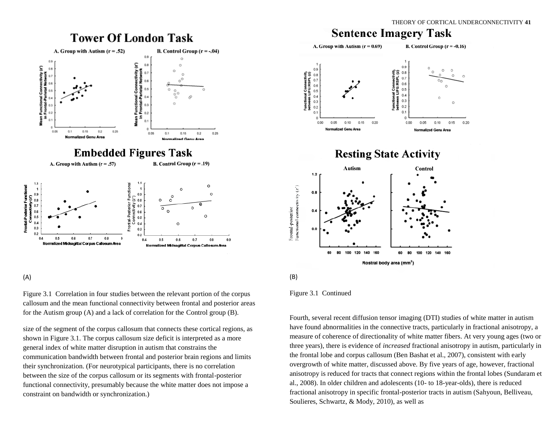# **Tower Of London Task**



#### (A)

Figure 3.1 Correlation in four studies between the relevant portion of the corpus callosum and the mean functional connectivity between frontal and posterior areas for the Autism group (A) and a lack of correlation for the Control group (B).

size of the segment of the corpus callosum that connects these cortical regions, as shown in Figure 3.1. The corpus callosum size deficit is interpreted as a more general index of white matter disruption in autism that constrains the communication bandwidth between frontal and posterior brain regions and limits their synchronization. (For neurotypical participants, there is no correlation between the size of the corpus callosum or its segments with frontal-posterior functional connectivity, presumably because the white matter does not impose a constraint on bandwidth or synchronization.)

#### THEORY OF CORTICAL UNDERCONNECTIVITY **43** THEORY **1** ask









Fourth, several recent diffusion tensor imaging (DTI) studies of white matter in autism have found abnormalities in the connective tracts, particularly in fractional anisotropy, a measure of coherence of directionality of white matter fibers. At very young ages (two or three years), there is evidence of *increased* fractional anisotropy in autism, particularly in the frontal lobe and corpus callosum (Ben Bashat et al., 2007), consistent with early overgrowth of white matter, discussed above. By five years of age, however, fractional anisotropy is reduced for tracts that connect regions within the frontal lobes (Sundaram et al., 2008). In older children and adolescents (10- to 18-year-olds), there is reduced fractional anisotropy in specific frontal-posterior tracts in autism (Sahyoun, Belliveau, Soulieres, Schwartz, & Mody, 2010), as well as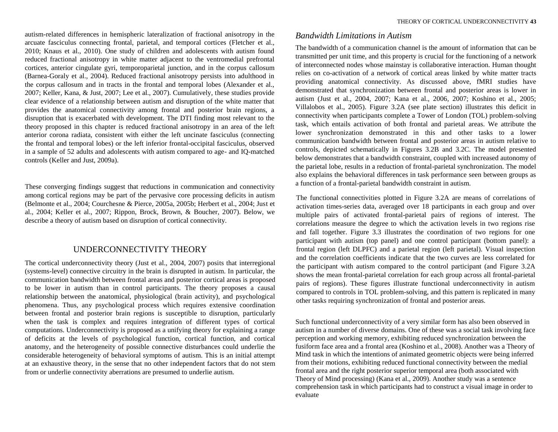autism-related differences in hemispheric lateralization of fractional anisotropy in the arcuate fasciculus connecting frontal, parietal, and temporal cortices (Fletcher et al., 2010; Knaus et al., 2010). One study of children and adolescents with autism found reduced fractional anisotropy in white matter adjacent to the ventromedial prefrontal cortices, anterior cingulate gyri, temporoparietal junction, and in the corpus callosum (Barnea-Goraly et al., 2004). Reduced fractional anisotropy persists into adulthood in the corpus callosum and in tracts in the frontal and temporal lobes (Alexander et al., 2007; Keller, Kana, & Just, 2007; Lee et al., 2007). Cumulatively, these studies provide clear evidence of a relationship between autism and disruption of the white matter that provides the anatomical connectivity among frontal and posterior brain regions, a disruption that is exacerbated with development. The DTI finding most relevant to the theory proposed in this chapter is reduced fractional anisotropy in an area of the left anterior corona radiata, consistent with either the left uncinate fasciculus (connecting the frontal and temporal lobes) or the left inferior frontal-occipital fasciculus, observed in a sample of 52 adults and adolescents with autism compared to age- and IQ-matched controls (Keller and Just, 2009a).

These converging findings suggest that reductions in communication and connectivity among cortical regions may be part of the pervasive core processing deficits in autism (Belmonte et al., 2004; Courchesne & Pierce, 2005a, 2005b; Herbert et al., 2004; Just et al., 2004; Keller et al., 2007; Rippon, Brock, Brown, & Boucher, 2007). Below, we describe a theory of autism based on disruption of cortical connectivity.

# UNDERCONNECTIVITY THEORY

The cortical underconnectivity theory (Just et al., 2004, 2007) posits that interregional (systems-level) connective circuitry in the brain is disrupted in autism. In particular, the communication bandwidth between frontal areas and posterior cortical areas is proposed to be lower in autism than in control participants. The theory proposes a causal relationship between the anatomical, physiological (brain activity), and psychological phenomena. Thus, any psychological process which requires extensive coordination between frontal and posterior brain regions is susceptible to disruption, particularly when the task is complex and requires integration of different types of cortical computations. Underconnectivity is proposed as a unifying theory for explaining a range of deficits at the levels of psychological function, cortical function, and cortical anatomy, and the heterogeneity of possible connective disturbances could underlie the considerable heterogeneity of behavioral symptoms of autism. This is an initial attempt at an exhaustive theory, in the sense that no other independent factors that do not stem from or underlie connectivity aberrations are presumed to underlie autism.

#### *Bandwidth Limitations in Autism*

The bandwidth of a communication channel is the amount of information that can be transmitted per unit time, and this property is crucial for the functioning of a network of interconnected nodes whose mainstay is collaborative interaction. Human thought relies on co-activation of a network of cortical areas linked by white matter tracts providing anatomical connectivity. As discussed above, fMRI studies have demonstrated that synchronization between frontal and posterior areas is lower in autism (Just et al., 2004, 2007; Kana et al., 2006, 2007; Koshino et al., 2005; Villalobos et al., 2005). Figure 3.2A (see plate section) illustrates this deficit in connectivity when participants complete a Tower of London (TOL) problem-solving task, which entails activation of both frontal and parietal areas. We attribute the lower synchronization demonstrated in this and other tasks to a lower communication bandwidth between frontal and posterior areas in autism relative to controls, depicted schematically in Figures 3.2B and 3.2C. The model presented below demonstrates that a bandwidth constraint, coupled with increased autonomy of the parietal lobe, results in a reduction of frontal-parietal synchronization. The model also explains the behavioral differences in task performance seen between groups as a function of a frontal-parietal bandwidth constraint in autism.

The functional connectivities plotted in Figure 3.2A are means of correlations of activation times-series data, averaged over 18 participants in each group and over multiple pairs of activated frontal-parietal pairs of regions of interest. The correlations measure the degree to which the activation levels in two regions rise and fall together. Figure 3.3 illustrates the coordination of two regions for one participant with autism (top panel) and one control participant (bottom panel): a frontal region (left DLPFC) and a parietal region (left parietal). Visual inspection and the correlation coefficients indicate that the two curves are less correlated for the participant with autism compared to the control participant (and Figure 3.2A shows the mean frontal-parietal correlation for each group across all frontal-parietal pairs of regions). These figures illustrate functional underconnectivity in autism compared to controls in TOL problem-solving, and this pattern is replicated in many other tasks requiring synchronization of frontal and posterior areas.

Such functional underconnectivity of a very similar form has also been observed in autism in a number of diverse domains. One of these was a social task involving face perception and working memory, exhibiting reduced synchronization between the fusiform face area and a frontal area (Koshino et al., 2008). Another was a Theory of Mind task in which the intentions of animated geometric objects were being inferred from their motions, exhibiting reduced functional connectivity between the medial frontal area and the right posterior superior temporal area (both associated with Theory of Mind processing) (Kana et al., 2009). Another study was a sentence comprehension task in which participants had to construct a visual image in order to evaluate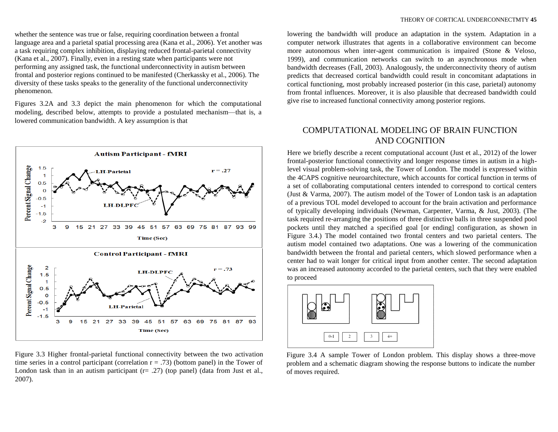whether the sentence was true or false, requiring coordination between a frontal language area and a parietal spatial processing area (Kana et al., 2006). Yet another was a task requiring complex inhibition, displaying reduced frontal-parietal connectivity (Kana et al., 2007). Finally, even in a resting state when participants were not performing any assigned task, the functional underconnectivity in autism between frontal and posterior regions continued to be manifested (Cherkassky et al., 2006). The diversity of these tasks speaks to the generality of the functional underconnectivity phenomenon.

Figures 3.2A and 3.3 depict the main phenomenon for which the computational modeling, described below, attempts to provide a postulated mechanism—that is, a lowered communication bandwidth. A key assumption is that



Figure 3.3 Higher frontal-parietal functional connectivity between the two activation time series in a control participant (correlation  $r = .73$ ) (bottom panel) in the Tower of London task than in an autism participant  $(r= .27)$  (top panel) (data from Just et al., 2007).

lowering the bandwidth will produce an adaptation in the system. Adaptation in a computer network illustrates that agents in a collaborative environment can become more autonomous when inter-agent communication is impaired (Stone & Veloso, 1999), and communication networks can switch to an asynchronous mode when bandwidth decreases (Fall, 2003). Analogously, the underconnectivity theory of autism predicts that decreased cortical bandwidth could result in concomitant adaptations in cortical functioning, most probably increased posterior (in this case, parietal) autonomy from frontal influences. Moreover, it is also plausible that decreased bandwidth could give rise to increased functional connectivity among posterior regions.

## COMPUTATIONAL MODELING OF BRAIN FUNCTION AND COGNITION

Here we briefly describe a recent computational account (Just et al., 2012) of the lower frontal-posterior functional connectivity and longer response times in autism in a highlevel visual problem-solving task, the Tower of London. The model is expressed within the 4CAPS cognitive neuroarchitecture, which accounts for cortical function in terms of a set of collaborating computational centers intended to correspond to cortical centers (Just & Varma, 2007). The autism model of the Tower of London task is an adaptation of a previous TOL model developed to account for the brain activation and performance of typically developing individuals (Newman, Carpenter, Varma, & Just, 2003). (The task required re-arranging the positions of three distinctive balls in three suspended pool pockets until they matched a specified goal [or ending] configuration, as shown in Figure 3.4.) The model contained two frontal centers and two parietal centers. The autism model contained two adaptations. One was a lowering of the communication bandwidth between the frontal and parietal centers, which slowed performance when a center had to wait longer for critical input from another center. The second adaptation was an increased autonomy accorded to the parietal centers, such that they were enabled to proceed



Figure 3.4 A sample Tower of London problem. This display shows a three-move problem and a schematic diagram showing the response buttons to indicate the number of moves required.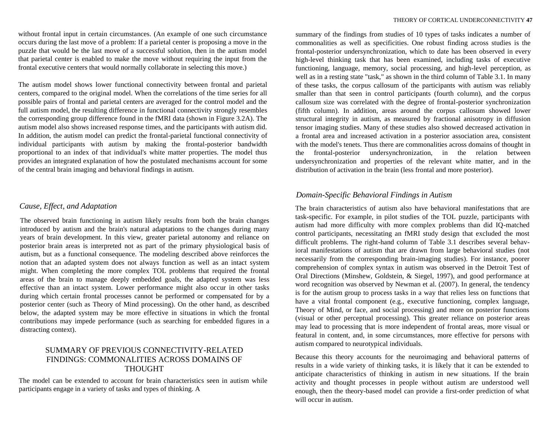without frontal input in certain circumstances. (An example of one such circumstance occurs during the last move of a problem: If a parietal center is proposing a move in the puzzle that would be the last move of a successful solution, then in the autism model that parietal center is enabled to make the move without requiring the input from the frontal executive centers that would normally collaborate in selecting this move.)

The autism model shows lower functional connectivity between frontal and parietal centers, compared to the original model. When the correlations of the time series for all possible pairs of frontal and parietal centers are averaged for the control model and the full autism model, the resulting difference in functional connectivity strongly resembles the corresponding group difference found in the fMRI data (shown in Figure 3.2A). The autism model also shows increased response times, and the participants with autism did. In addition, the autism model can predict the frontal-parietal functional connectivity of individual participants with autism by making the frontal-posterior bandwidth proportional to an index of that individual's white matter properties. The model thus provides an integrated explanation of how the postulated mechanisms account for some of the central brain imaging and behavioral findings in autism.

#### *Cause, Effect, and Adaptation*

The observed brain functioning in autism likely results from both the brain changes introduced by autism and the brain's natural adaptations to the changes during many years of brain development. In this view, greater parietal autonomy and reliance on posterior brain areas is interpreted not as part of the primary physiological basis of autism, but as a functional consequence. The modeling described above reinforces the notion that an adapted system does not always function as well as an intact system might. When completing the more complex TOL problems that required the frontal areas of the brain to manage deeply embedded goals, the adapted system was less effective than an intact system. Lower performance might also occur in other tasks during which certain frontal processes cannot be performed or compensated for by a posterior center (such as Theory of Mind processing). On the other hand, as described below, the adapted system may be more effective in situations in which the frontal contributions may impede performance (such as searching for embedded figures in a distracting context).

#### SUMMARY OF PREVIOUS CONNECTIVITY-RELATED FINDINGS: COMMONALITIES ACROSS DOMAINS OF THOUGHT

The model can be extended to account for brain characteristics seen in autism while participants engage in a variety of tasks and types of thinking. A

summary of the findings from studies of 10 types of tasks indicates a number of commonalities as well as specificities. One robust finding across studies is the frontal-posterior undersynchronization, which to date has been observed in every high-level thinking task that has been examined, including tasks of executive functioning, language, memory, social processing, and high-level perception, as well as in a resting state "task," as shown in the third column of Table 3.1. In many of these tasks, the corpus callosum of the participants with autism was reliably smaller than that seen in control participants (fourth column), and the corpus callosum size was correlated with the degree of frontal-posterior synchronization (fifth column). In addition, areas around the corpus callosum showed lower structural integrity in autism, as measured by fractional anisotropy in diffusion tensor imaging studies. Many of these studies also showed decreased activation in a frontal area and increased activation in a posterior association area, consistent with the model's tenets. Thus there are commonalities across domains of thought in the frontal-posterior undersynchronization, in the relation between undersynchronization and properties of the relevant white matter, and in the distribution of activation in the brain (less frontal and more posterior).

#### *Domain-Specific Behavioral Findings in Autism*

The brain characteristics of autism also have behavioral manifestations that are task-specific. For example, in pilot studies of the TOL puzzle, participants with autism had more difficulty with more complex problems than did IQ-matched control participants, necessitating an fMRI study design that excluded the most difficult problems. The right-hand column of Table 3.1 describes several behavioral manifestations of autism that are drawn from large behavioral studies (not necessarily from the corresponding brain-imaging studies). For instance, poorer comprehension of complex syntax in autism was observed in the Detroit Test of Oral Directions (Minshew, Goldstein, & Siegel, 1997), and good performance at word recognition was observed by Newman et al. (2007). In general, the tendency is for the autism group to process tasks in a way that relies less on functions that have a vital frontal component (e.g., executive functioning, complex language, Theory of Mind, or face, and social processing) and more on posterior functions (visual or other perceptual processing). This greater reliance on posterior areas may lead to processing that is more independent of frontal areas, more visual or featural in content, and, in some circumstances, more effective for persons with autism compared to neurotypical individuals.

Because this theory accounts for the neuroimaging and behavioral patterns of results in a wide variety of thinking tasks, it is likely that it can be extended to anticipate characteristics of thinking in autism in new situations. If the brain activity and thought processes in people without autism are understood well enough, then the theory-based model can provide a first-order prediction of what will occur in autism.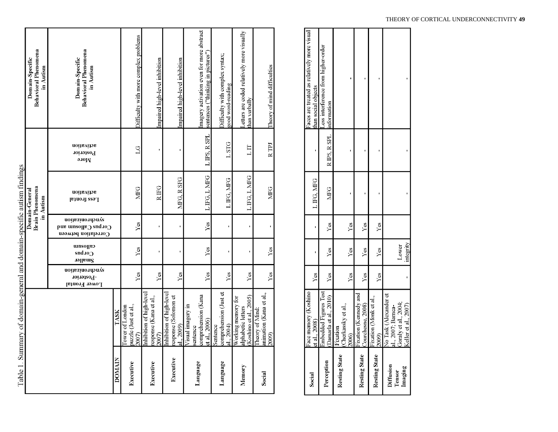|                                                                        | <b>Behavioral Phenomena</b><br>Domain-Specific<br>in Autism | <b>Behavioral Phenomena</b><br>Domain-Specific<br>in Autism                                             |               | Difficulty with more complex problems            | Impaired high-level inhibition                            | Impaired high-level inhibition                                 | Imagery activation even for more abstract<br>sentences ("thinking in pictures" | Difficulty with complex syntax;<br>good word-reading | etters are coded relatively more visually<br>than verbally         | Theory of mind difficulties                        |
|------------------------------------------------------------------------|-------------------------------------------------------------|---------------------------------------------------------------------------------------------------------|---------------|--------------------------------------------------|-----------------------------------------------------------|----------------------------------------------------------------|--------------------------------------------------------------------------------|------------------------------------------------------|--------------------------------------------------------------------|----------------------------------------------------|
|                                                                        |                                                             | noitsviida<br>Posterior<br>әлом                                                                         |               | $\overline{C}$                                   |                                                           |                                                                | LIPS, RSPL                                                                     | <b>LSTG</b>                                          | LIT                                                                | $R$ TPJ                                            |
|                                                                        | <b>Brain Phenomena</b><br>Domain-General<br>in Autism       | noitsviton<br>Less frontal                                                                              |               | <b>MFG</b>                                       | R IFG                                                     | MFG, R SFG                                                     | LIFG, LMFG                                                                     | L IFG. MFG                                           | LIFG, LMFG                                                         | <b>MFG</b>                                         |
|                                                                        |                                                             | moitssinondonya<br>$\mathop{\rm Coul}\nolimits$ and $\mathop{\rm Coul}\nolimits$<br>Correlation between |               | Υœ                                               |                                                           |                                                                | Yes                                                                            |                                                      |                                                                    |                                                    |
|                                                                        |                                                             | csqlozum<br>Corpus<br>Smaller                                                                           |               | Yes                                              |                                                           |                                                                | Yes                                                                            |                                                      |                                                                    | Yes                                                |
|                                                                        |                                                             | noitssinondonya<br>-Posterior<br>Lower Frontal                                                          |               | Yes                                              | Yes                                                       | Yes                                                            | Yes                                                                            | Yes                                                  | Yes                                                                | Yes                                                |
| Table 1. Summary of domain-general and domain-specific autism findings |                                                             |                                                                                                         | TASK          | puzzle (Just et al.,<br>Tower of London<br>2007) | nhibition of high-level<br>esponse (Kana et al.,<br>2007) | inhibition of high-level<br>response (Solomon et<br>al., 2009) | comprehension (Kana<br>Visual imagery in<br>et al., 2006)<br>sentence          | comprehension (Just et<br>Sentence<br>al., 2004)     | (Koshino et al., 2005)<br>Working memory for<br>alphabetic letters | animation (Kana et al.,<br>Theory of Mind<br>2009) |
|                                                                        |                                                             |                                                                                                         | <b>DOMAIN</b> | Executive                                        | Executive                                                 | Executive                                                      | Language                                                                       | Language                                             | Memory                                                             | Social                                             |

| Social            | ace memory (Koshino    |     |           |     |           |                          | Faces are treated as relatively more visual |
|-------------------|------------------------|-----|-----------|-----|-----------|--------------------------|---------------------------------------------|
|                   | et al., 2008           | Yes |           |     | L FG, MFG |                          | than social objects                         |
|                   | Embedded Figures Test  |     |           |     |           |                          | ess interference from higher-order          |
| Perception        | Damarla et al., 2010)  | Yes | Yes       | Υœ  | MFG       | R IPS, R SPL information |                                             |
|                   | Fixation               |     |           |     |           |                          |                                             |
| Resting State     | (Cherkassky et al.,    |     |           |     |           |                          |                                             |
|                   | 2006)                  | Yes | Yes       | Ýes |           |                          |                                             |
|                   | Fixation (Kennedy and  |     |           |     |           |                          |                                             |
| Resting State     | Courchesne, 2008)      | Yes | Yes       | Ϋ́  |           |                          |                                             |
|                   | Fixation (Monk et al., |     |           |     |           |                          |                                             |
| Resting State     | 2009)                  | Yes | Yes       | Υés |           |                          |                                             |
|                   | No Task (Alexander et  |     |           |     |           |                          |                                             |
| Diffusion         | .l., 2007; Barnea-     |     |           |     |           |                          |                                             |
| Imaging<br>Tensor | Goraly et al., 2004,   |     | Lower     |     |           |                          |                                             |
|                   | Keller et al., 2007)   |     | integrity |     |           |                          |                                             |
|                   |                        |     |           |     |           |                          |                                             |

#### THEORY OF CORTICAL UNDERCONNECTIVITY **49**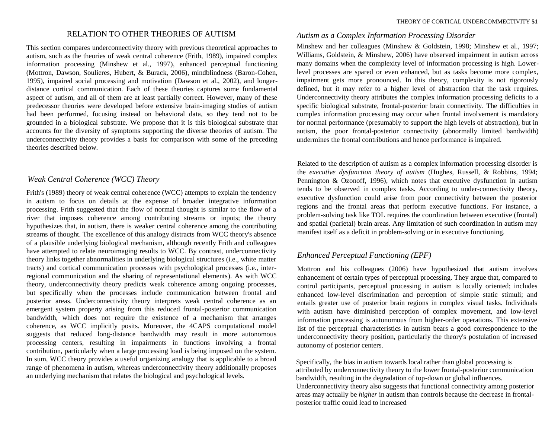#### RELATION TO OTHER THEORIES OF AUTISM

This section compares underconnectivity theory with previous theoretical approaches to autism, such as the theories of weak central coherence (Frith, 1989), impaired complex information processing (Minshew et al., 1997), enhanced perceptual functioning (Mottron, Dawson, Soulieres, Hubert, & Burack, 2006), mindblindness (Baron-Cohen, 1995), impaired social processing and motivation (Dawson et al., 2002), and longerdistance cortical communication. Each of these theories captures some fundamental aspect of autism, and all of them are at least partially correct. However, many of these predecessor theories were developed before extensive brain-imaging studies of autism had been performed, focusing instead on behavioral data, so they tend not to be grounded in a biological substrate. We propose that it is this biological substrate that accounts for the diversity of symptoms supporting the diverse theories of autism. The underconnectivity theory provides a basis for comparison with some of the preceding theories described below.

#### *Weak Central Coherence (WCC) Theory*

Frith's (1989) theory of weak central coherence (WCC) attempts to explain the tendency in autism to focus on details at the expense of broader integrative information processing. Frith suggested that the flow of normal thought is similar to the flow of a river that imposes coherence among contributing streams or inputs; the theory hypothesizes that, in autism, there is weaker central coherence among the contributing streams of thought. The excellence of this analogy distracts from WCC theory's absence of a plausible underlying biological mechanism, although recently Frith and colleagues have attempted to relate neuroimaging results to WCC. By contrast, underconnectivity theory links together abnormalities in underlying biological structures (i.e., white matter tracts) and cortical communication processes with psychological processes (i.e., interregional communication and the sharing of representational elements). As with WCC theory, underconnectivity theory predicts weak coherence among ongoing processes, but specifically when the processes include communication between frontal and posterior areas. Underconnectivity theory interprets weak central coherence as an emergent system property arising from this reduced frontal-posterior communication bandwidth, which does not require the existence of a mechanism that arranges coherence, as WCC implicitly posits. Moreover, the 4CAPS computational model suggests that reduced long-distance bandwidth may result in more autonomous processing centers, resulting in impairments in functions involving a frontal contribution, particularly when a large processing load is being imposed on the system. In sum, WCC theory provides a useful organizing analogy that is applicable to a broad range of phenomena in autism, whereas underconnectivity theory additionally proposes an underlying mechanism that relates the biological and psychological levels.

#### *Autism as a Complex Information Processing Disorder*

Minshew and her colleagues (Minshew & Goldstein, 1998; Minshew et al., 1997; Williams, Goldstein, & Minshew, 2006) have observed impairment in autism across many domains when the complexity level of information processing is high. Lowerlevel processes are spared or even enhanced, but as tasks become more complex, impairment gets more pronounced. In this theory, complexity is not rigorously defined, but it may refer to a higher level of abstraction that the task requires. Underconnectivity theory attributes the complex information processing deficits to a specific biological substrate, frontal-posterior brain connectivity. The difficulties in complex information processing may occur when frontal involvement is mandatory for normal performance (presumably to support the high levels of abstraction), but in autism, the poor frontal-posterior connectivity (abnormally limited bandwidth) undermines the frontal contributions and hence performance is impaired.

Related to the description of autism as a complex information processing disorder is the *executive dysfunction theory of autism* (Hughes, Russell, & Robbins, 1994; Pennington & Ozonoff, 1996), which notes that executive dysfunction in autism tends to be observed in complex tasks. According to under-connectivity theory, executive dysfunction could arise from poor connectivity between the posterior regions and the frontal areas that perform executive functions. For instance, a problem-solving task like TOL requires the coordination between executive (frontal) and spatial (parietal) brain areas. Any limitation of such coordination in autism may manifest itself as a deficit in problem-solving or in executive functioning.

#### *Enhanced Perceptual Functioning (EPF)*

Mottron and his colleagues (2006) have hypothesized that autism involves enhancement of certain types of perceptual processing. They argue that, compared to control participants, perceptual processing in autism is locally oriented; includes enhanced low-level discrimination and perception of simple static stimuli; and entails greater use of posterior brain regions in complex visual tasks. Individuals with autism have diminished perception of complex movement, and low-level information processing is autonomous from higher-order operations. This extensive list of the perceptual characteristics in autism bears a good correspondence to the underconnectivity theory position, particularly the theory's postulation of increased autonomy of posterior centers.

Specifically, the bias in autism towards local rather than global processing is attributed by underconnectivity theory to the lower frontal-posterior communication bandwidth, resulting in the degradation of top-down or global influences. Underconnectivity theory also suggests that functional connectivity among posterior areas may actually be *higher* in autism than controls because the decrease in frontalposterior traffic could lead to increased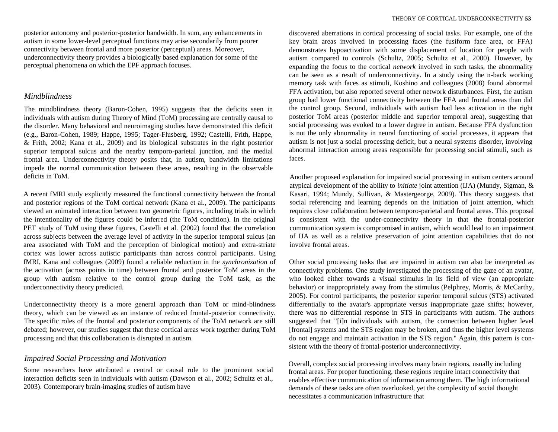posterior autonomy and posterior-posterior bandwidth. In sum, any enhancements in autism in some lower-level perceptual functions may arise secondarily from poorer connectivity between frontal and more posterior (perceptual) areas. Moreover, underconnectivity theory provides a biologically based explanation for some of the perceptual phenomena on which the EPF approach focuses.

#### *Mindblindness*

The mindblindness theory (Baron-Cohen, 1995) suggests that the deficits seen in individuals with autism during Theory of Mind (ToM) processing are centrally causal to the disorder. Many behavioral and neuroimaging studies have demonstrated this deficit (e.g., Baron-Cohen, 1989; Happe, 1995; Tager-Flusberg, 1992; Castelli, Frith, Happe, & Frith, 2002; Kana et al., 2009) and its biological substrates in the right posterior superior temporal sulcus and the nearby temporo-parietal junction, and the medial frontal area. Underconnectivity theory posits that, in autism, bandwidth limitations impede the normal communication between these areas, resulting in the observable deficits in ToM.

A recent fMRI study explicitly measured the functional connectivity between the frontal and posterior regions of the ToM cortical network (Kana et al., 2009). The participants viewed an animated interaction between two geometric figures, including trials in which the intentionality of the figures could be inferred (the ToM condition). In the original PET study of ToM using these figures, Castelli et al. (2002) found that the correlation across subjects between the average level of activity in the superior temporal sulcus (an area associated with ToM and the perception of biological motion) and extra-striate cortex was lower across autistic participants than across control participants. Using fMRI, Kana and colleagues (2009) found a reliable reduction in the *synchronization* of the activation (across points in time) between frontal and posterior ToM areas in the group with autism relative to the control group during the ToM task, as the underconnectivity theory predicted.

Underconnectivity theory is a more general approach than ToM or mind-blindness theory, which can be viewed as an instance of reduced frontal-posterior connectivity. The specific roles of the frontal and posterior components of the ToM network are still debated; however, our studies suggest that these cortical areas work together during ToM processing and that this collaboration is disrupted in autism.

#### *Impaired Social Processing and Motivation*

Some researchers have attributed a central or causal role to the prominent social interaction deficits seen in individuals with autism (Dawson et al., 2002; Schultz et al., 2003). Contemporary brain-imaging studies of autism have

discovered aberrations in cortical processing of social tasks. For example, one of the key brain areas involved in processing faces (the fusiform face area, or FFA) demonstrates hypoactivation with some displacement of location for people with autism compared to controls (Schultz, 2005; Schultz et al., 2000). However, by expanding the focus to the cortical *network* involved in such tasks, the abnormality can be seen as a result of underconnectivity. In a study using the n-back working memory task with faces as stimuli, Koshino and colleagues (2008) found abnormal FFA activation, but also reported several other network disturbances. First, the autism group had lower functional connectivity between the FFA and frontal areas than did the control group. Second, individuals with autism had less activation in the right posterior ToM areas (posterior middle and superior temporal area), suggesting that social processing was evoked to a lower degree in autism. Because FFA dysfunction is not the only abnormality in neural functioning of social processes, it appears that autism is not just a social processing deficit, but a neural systems disorder, involving abnormal interaction among areas responsible for processing social stimuli, such as faces.

Another proposed explanation for impaired social processing in autism centers around atypical development of the ability to *initiate* joint attention (IJA) (Mundy, Sigman, & Kasari, 1994; Mundy, Sullivan, & Mastergeorge, 2009). This theory suggests that social referencing and learning depends on the initiation of joint attention, which requires close collaboration between temporo-parietal and frontal areas. This proposal is consistent with the under-connectivity theory in that the frontal-posterior communication system is compromised in autism, which would lead to an impairment of IJA as well as a relative preservation of joint attention capabilities that do not involve frontal areas.

Other social processing tasks that are impaired in autism can also be interpreted as connectivity problems. One study investigated the processing of the gaze of an avatar, who looked either towards a visual stimulus in its field of view (an appropriate behavior) or inappropriately away from the stimulus (Pelphrey, Morris, & McCarthy, 2005). For control participants, the posterior superior temporal sulcus (STS) activated differentially to the avatar's appropriate versus inappropriate gaze shifts; however, there was no differential response in STS in participants with autism. The authors suggested that "[i]n individuals with autism, the connection between higher level [frontal] systems and the STS region may be broken, and thus the higher level systems do not engage and maintain activation in the STS region." Again, this pattern is consistent with the theory of frontal-posterior underconnectivity.

Overall, complex social processing involves many brain regions, usually including frontal areas. For proper functioning, these regions require intact connectivity that enables effective communication of information among them. The high informational demands of these tasks are often overlooked, yet the complexity of social thought necessitates a communication infrastructure that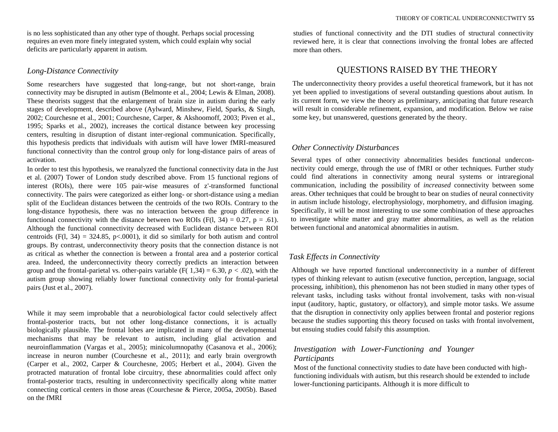is no less sophisticated than any other type of thought. Perhaps social processing requires an even more finely integrated system, which could explain why social deficits are particularly apparent in autism.

#### *Long-Distance Connectivity*

Some researchers have suggested that long-range, but not short-range, brain connectivity may be disrupted in autism (Belmonte et al., 2004; Lewis & Elman, 2008). These theorists suggest that the enlargement of brain size in autism during the early stages of development, described above (Aylward, Minshew, Field, Sparks, & Singh, 2002; Courchesne et al., 2001; Courchesne, Carper, & Akshoomoff, 2003; Piven et al., 1995; Sparks et al., 2002), increases the cortical distance between key processing centers, resulting in disruption of distant inter-regional communication. Specifically, this hypothesis predicts that individuals with autism will have lower fMRI-measured functional connectivity than the control group only for long-distance pairs of areas of activation.

In order to test this hypothesis, we reanalyzed the functional connectivity data in the Just et al. (2007) Tower of London study described above. From 15 functional regions of interest (ROIs), there were 105 pair-wise measures of z'-transformed functional connectivity. The pairs were categorized as either long- or short-distance using a median split of the Euclidean distances between the centroids of the two ROIs. Contrary to the long-distance hypothesis, there was no interaction between the group difference in functional connectivity with the distance between two ROIs (F(1, 34) = 0.27, p = .61). Although the functional connectivity decreased with Euclidean distance between ROI centroids  $(F(1, 34) = 324.85, p<0.001)$ , it did so similarly for both autism and control groups. By contrast, underconnectivity theory posits that the connection distance is not as critical as whether the connection is between a frontal area and a posterior cortical area. Indeed, the underconnectivity theory correctly predicts an interaction between group and the frontal-parietal vs. other-pairs variable  $(F(1,34) = 6.30, p < .02)$ , with the autism group showing reliably lower functional connectivity only for frontal-parietal pairs (Just et al., 2007).

While it may seem improbable that a neurobiological factor could selectively affect frontal-posterior tracts, but not other long-distance connections, it is actually biologically plausible. The frontal lobes are implicated in many of the developmental mechanisms that may be relevant to autism, including glial activation and neuroinflammation (Vargas et al., 2005); minicolumnopathy (Casanova et al., 2006); increase in neuron number (Courchesne et al., 2011); and early brain overgrowth (Carper et al., 2002, Carper & Courchesne, 2005; Herbert et al., 2004). Given the protracted maturation of frontal lobe circuitry, these abnormalities could affect only frontal-posterior tracts, resulting in underconnectivity specifically along white matter connecting cortical centers in those areas (Courchesne & Pierce, 2005a, 2005b). Based on the fMRI

studies of functional connectivity and the DTI studies of structural connectivity reviewed here, it is clear that connections involving the frontal lobes are affected more than others.

## QUESTIONS RAISED BY THE THEORY

The underconnectivity theory provides a useful theoretical framework, but it has not yet been applied to investigations of several outstanding questions about autism. In its current form, we view the theory as preliminary, anticipating that future research will result in considerable refinement, expansion, and modification. Below we raise some key, but unanswered, questions generated by the theory.

#### *Other Connectivity Disturbances*

Several types of other connectivity abnormalities besides functional underconnectivity could emerge, through the use of fMRI or other techniques. Further study could find alterations in connectivity among neural systems or intraregional communication, including the possibility of *increased* connectivity between some areas. Other techniques that could be brought to bear on studies of neural connectivity in autism include histology, electrophysiology, morphometry, and diffusion imaging. Specifically, it will be most interesting to use some combination of these approaches to investigate white matter and gray matter abnormalities, as well as the relation between functional and anatomical abnormalities in autism.

#### *Task Effects in Connectivity*

Although we have reported functional underconnectivity in a number of different types of thinking relevant to autism (executive function, perception, language, social processing, inhibition), this phenomenon has not been studied in many other types of relevant tasks, including tasks without frontal involvement, tasks with non-visual input (auditory, haptic, gustatory, or olfactory), and simple motor tasks. We assume that the disruption in connectivity only applies between frontal and posterior regions because the studies supporting this theory focused on tasks with frontal involvement, but ensuing studies could falsify this assumption.

### *Investigation with Lower-Functioning and Younger Participants*

Most of the functional connectivity studies to date have been conducted with highfunctioning individuals with autism, but this research should be extended to include lower-functioning participants. Although it is more difficult to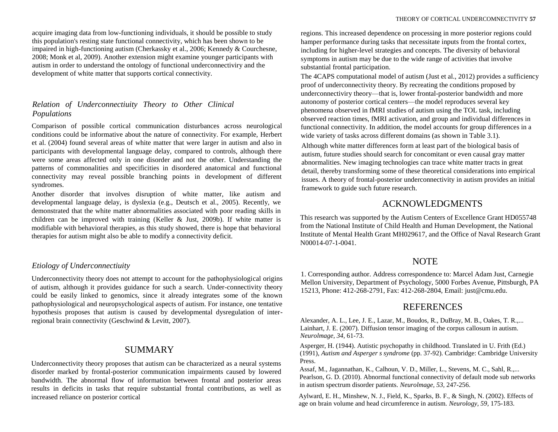acquire imaging data from low-functioning individuals, it should be possible to study this population's resting state functional connectivity, which has been shown to be impaired in high-functioning autism (Cherkassky et al., 2006; Kennedy & Courchesne, 2008; Monk et al, 2009). Another extension might examine younger participants with autism in order to understand the ontology of functional underconnectiviry and the development of white matter that supports cortical connectivity.

# *Relation of Underconnectiuity Theory to Other Clinical Populations*

Comparison of possible cortical communication disturbances across neurological conditions could be informative about the nature of connectivity. For example, Herbert et al. (2004) found several areas of white matter that were larger in autism and also in participants with developmental language delay, compared to controls, although there were some areas affected only in one disorder and not the other. Understanding the patterns of commonalities and specificities in disordered anatomical and functional connectivity may reveal possible branching points in development of different syndromes.

Another disorder that involves disruption of white matter, like autism and developmental language delay, is dyslexia (e.g., Deutsch et al., 2005). Recently, we demonstrated that the white matter abnormalities associated with poor reading skills in children can be improved with training (Keller & Just, 2009b). If white matter is modifiable with behavioral therapies, as this study showed, there is hope that behavioral therapies for autism might also be able to modify a connectivity deficit.

### *Etiology of Underconnectiuity*

Underconnectivity theory does not attempt to account for the pathophysiological origins of autism, although it provides guidance for such a search. Under-connectivity theory could be easily linked to genomics, since it already integrates some of the known pathophysiological and neuropsychological aspects of autism. For instance, one tentative hypothesis proposes that autism is caused by developmental dysregulation of interregional brain connectivity (Geschwind & Levitt, 2007).

# SUMMARY

Underconnectivity theory proposes that autism can be characterized as a neural systems disorder marked by frontal-posterior communication impairments caused by lowered bandwidth. The abnormal flow of information between frontal and posterior areas results in deficits in tasks that require substantial frontal contributions, as well as increased reliance on posterior cortical

regions. This increased dependence on processing in more posterior regions could hamper performance during tasks that necessitate inputs from the frontal cortex, including for higher-level strategies and concepts. The diversity of behavioral symptoms in autism may be due to the wide range of activities that involve substantial frontal participation.

The 4CAPS computational model of autism (Just et al., 2012) provides a sufficiency proof of underconnectivity theory. By recreating the conditions proposed by underconnectiviry theory—that is, lower frontal-posterior bandwidth and more autonomy of posterior cortical centers—the model reproduces several key phenomena observed in fMRI studies of autism using the TOL task, including observed reaction times, fMRI activation, and group and individual differences in functional connectivity. In addition, the model accounts for group differences in a wide variety of tasks across different domains (as shown in Table 3.1).

Although white matter differences form at least part of the biological basis of autism, future studies should search for concomitant or even causal gray matter abnormalities. New imaging technologies can trace white matter tracts in great detail, thereby transforming some of these theoretical considerations into empirical issues. A theory of frontal-posterior underconnectivity in autism provides an initial framework to guide such future research.

# ACKNOWLEDGMENTS

This research was supported by the Autism Centers of Excellence Grant HD055748 from the National Institute of Child Health and Human Development, the National Institute of Mental Health Grant MH029617, and the Office of Naval Research Grant N00014-07-1-0041.

# **NOTE**

1. Corresponding author. Address correspondence to: Marcel Adam Just, Carnegie Mellon University, Department of Psychology, 5000 Forbes Avenue, Pittsburgh, PA 15213, Phone: 412-268-2791, Fax: 412-268-2804, Email: just@cmu.edu.

# **REFERENCES**

Alexander, A. L., Lee, J. E., Lazar, M., Boudos, R., DuBray, M. B., Oakes, T. R.,... Lainhart, J. E. (2007). Diffusion tensor imaging of the corpus callosum in autism. *Neurolmage, 34,* 61-73.

Asperger, H. (1944). Autistic psychopathy in childhood. Translated in U. Frith (Ed.) (1991), *Autism and Asperger s syndrome* (pp. 37-92). Cambridge: Cambridge University Press.

Assaf, M., Jagannathan, K., Calhoun, V. D., Miller, L., Stevens, M. C., Sahl, R.,... Pearlson, G. D. (2010). Abnormal functional connectivity of default mode sub networks in autism spectrum disorder patients. *Neurolmage, 53,* 247-256.

Aylward, E. H., Minshew, N. J., Field, K., Sparks, B. F., & Singh, N. (2002). Effects of age on brain volume and head circumference in autism. *Neurology, 59,* 175-183.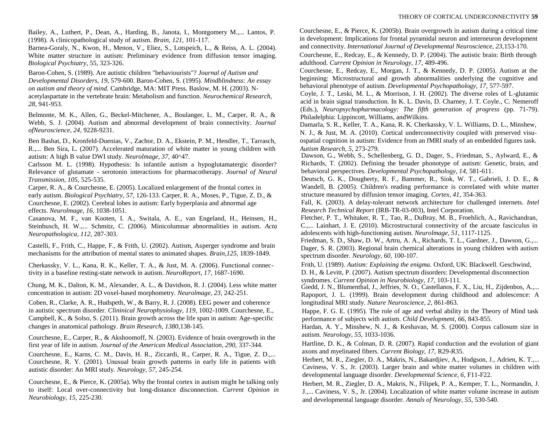Bailey, A., Luthert, P., Dean, A., Harding, B., Janota, I., Montgomery M.,... Lantos, P. (1998). A clinicopathological study of autism. *Brain, 121,* 101-117.

Barnea-Goraly, N., Kwon, H., Menon, V., Eliez, S., Lotspeich, L., & Reiss, A. L. (2004). White matter structure in autism: Preliminary evidence from diffusion tensor imaging. *Biological Psychiatry,* 55, 323-326.

Baron-Cohen, S. (1989). Are autistic children "behaviourists"? *Journal of Autism and Developmental Disorders, 19,* 579-600. Baron-Cohen, S. (1995). *Mindblindness: An essay on autism and theory of mind.* Cambridge, MA: MIT Press. Baslow, M. H. (2003). Nacetylaspartate in the vertebrate brain: Metabolism and function. *Neurochemical Research, 28,* 941-953.

Belmonte, M. K., Allen, G., Beckel-Mitchener, A., Boulanger, L. M., Carper, R. A., & Webb, S. J. (2004). Autism and abnormal development of brain connectivity. *Journal ofNeuroscience, 24,* 9228-9231.

Ben Bashat, D., Kronfeld-Duenias, V., Zachor, D. A., Ekstein, P. M., Hendler, T., Tarrasch, R.,... Ben Sira, L. (2007). Accelerated maturation of white matter in young children with autism: A high B value DWI study. *Neurolmage, 37,* 40^47.

Carlsson M. L. (1998). Hypothesis: Is infantile autism a hypoglutamatergic disorder? Relevance of glutamate - serotonin interactions for pharmacotherapy. *Journal of Neural Transmission, 105,* 525-535.

Carper, R. A., & Courchesne, E. (2005). Localized enlargement of the frontal cortex in early autism. *Biological Psychiatry, 57,* 126-133. Carper, R. A., Moses, P., Tigue, Z. D., & Courchesne, E. (2002). Cerebral lobes in autism: Early hyperplasia and abnormal age effects. *Neurolmage, 16,* 1038-1051.

Casanova, M. F., van Kooten, I. A., Switala, A. E., van Engeland, H., Heinsen, H., Steinbusch, H. W.,... Schmitz, C. (2006). Minicolumnar abnormalities in autism. *Acta Neuropathologica, 112,* 287-303.

Castelli, F., Frith, C., Happe, F., & Frith, U. (2002). Autism, Asperger syndrome and brain mechanisms for the attribution of mental states to animated shapes. *Brain,125,* 1839-1849.

Cherkassky, V. L., Kana, R. K., Keller, T. A., & Just, M. A. (2006). Functional connectivity in a baseline resting-state network in autism. *NeuroReport, 17,* 1687-1690.

Chung, M. K., Dalton, K. M., Alexander, A. L., & Davidson, R. J. (2004). Less white matter concentration in autism: 2D voxel-based morphometry. *Neurolmage, 23,* 242-251.

Coben, R., Clarke, A. R., Hudspeth, W., & Barry, R. J. (2008). EEG power and coherence in autistic spectrum disorder. *Clininical Neurophysiology, 119,* 1002-1009. Courchesne, E., Campbell, K., & Solso, S. (2011). Brain growth across the life span in autism: Age-specific changes in anatomical pathology. *Brain Research, 1380,*138-145.

Courchesne, E., Carper, R., & Akshoomoff, N. (2003). Evidence of brain overgrowth in the first year of life in autism. *Journal of the American Medical Association, 290,* 337-344.

Courchesne, E., Karns, C. M., Davis, H. R., Ziccardi, R., Carper, R. A., Tigue, Z. D.,... Courchesne, R. Y. (2001). Unusual brain growth patterns in early life in patients with autistic disorder: An MRI study. *Neurology, 57,* 245-254.

Courchesne, E., & Pierce, K. (2005a). Why the frontal cortex in autism might be talking only to itself: Local over-connectivity but long-distance disconnection. *Current Opinion in Neurobiology, 15,* 225-230.

Courchesne, E., & Pierce, K. (2005b). Brain overgrowth in autism during a critical time in development: Implications for frontal pyramidal neuron and interneuron development and connectivity. *International Journal of Developmental Neuroscience, 23,*153-170.

Courchesne, E., Redcay, E., & Kennedy, D. P. (2004). The autistic brain: Birth through adulthood. *Current Opinion in Neurology, 17,* 489-496.

Courchesne, E., Redcay, E., Morgan, J. T., & Kennedy, D. P. (2005). Autism at the beginning: Microstructural and growth abnormalities underlying the cognitive and behavioral phenotype of autism. *Developmental Psychopathology, 17,* 577-597.

Coyle, J. T., Leski, M. L., & Morrison, J. H. (2002). The diverse roles of L-glutamic acid in brain signal transduction. In K. L. Davis, D. Charney, J. T. Coyle., C. Nemeroff (Eds.), *Neuropsychopharmacology: The fifth generation of progress* (pp. 71-79). Philadelphia: Lippincott, Williams, andWilkins.

Damarla, S. R., Keller, T. A., Kana, R. K. Cherkassky, V. L. Williams, D. L., Minshew, N. J., & Just, M. A. (2010). Cortical underconnectivity coupled with preserved visuospatial cognition in autism: Evidence from an fMRI study of an embedded figures task. *Autism Research, 5,* 273-279.

Dawson, G., Webb, S., Schellenberg, G. D., Dager, S., Friedman, S., Aylward, E., & Richards, T. (2002). Defining the broader phonotype of autism: Genetic, brain, and behavioral perspectives. *Developmental Psychopathology, 14,* 581-611.

Deutsch, G. K., Dougherty, R. F., Bammer, R., Siok, W. T., Gabrieli, J. D. E., & Wandell, B. (2005). Children's reading performance is correlated with white matter structure measured by diffusion tensor imaging. *Cortex, 41,* 354-363.

Fall, K. (2003). A delay-tolerant network architecture for challenged internets. *Intel Research Technical Report* (IRB-TR-03-003), Intel Corporation.

Fletcher, P. T., Whitaker, R. T., Tao, R., DuBray, M. B., Froehlich, A., Ravichandran, C.,... Lainhart, J. E. (2010). Microstructural connectivity of the arcuate fasciculus in adolescents with high-functioning autism. *Neurolmage, 51,* 1117-1125.

Friedman, S. D., Shaw, D. W., Artru, A. A., Richards, T. L., Gardner, J., Dawson, G.,... Dager, S. R. (2003). Regional brain chemical alterations in young children with autism spectrum disorder. *Neurology, 60,* 100-107.

Frith, U. (1989). *Autism: Explaining the enigma.* Oxford, UK: Blackwell. Geschwind, D. H., & Levitt, P. (2007). Autism spectrum disorders: Developmental disconnection syndromes. *Current Opinion in Neurobiology, 17,* 103-111.

Giedd, J. N., Blumenthal, J., Jeffries, N. O., Castellanos, F. X., Liu, H., Zijdenbos, A.,... Rapoport, J. L. (1999). Brain development during childhood and adolescence: A longitudinal MRI study. *Nature Neuroscience, 2,* 861-863.

Happe, F. G. E. (1995). The role of age and verbal ability in the Theory of Mind task performance of subjects with autism. *Child Development, 66,* 843-855.

Hardan, A. Y., Minshew, N. J., & Keshavan, M. S. (2000). Corpus callosum size in autism. *Neurology, 55,* 1033-1036.

Hartline, D. K., & Colman, D. R. (2007). Rapid conduction and the evolution of giant axons and myelinated fibers. *Current Biology, 17,* R29-R35.

Herbert, M. R., Ziegler, D. A., Makris, N., Bakardjiev, A., Hodgson, J., Adrien, K. T.,... Caviness, V. S., Jr. (2003). Larger brain and white matter volumes in children with developmental language disorder. *Developmental Science, 6,* F11-F22.

Herbert, M. R., Ziegler, D. A., Makris, N., Filipek, P. A., Kemper, T. L., Normandin, J. J.,... Caviness, V. S., Jr. (2004). Localization of white matter volume increase in autism and developmental language disorder. *Annals of Neurology, 55,* 530-540.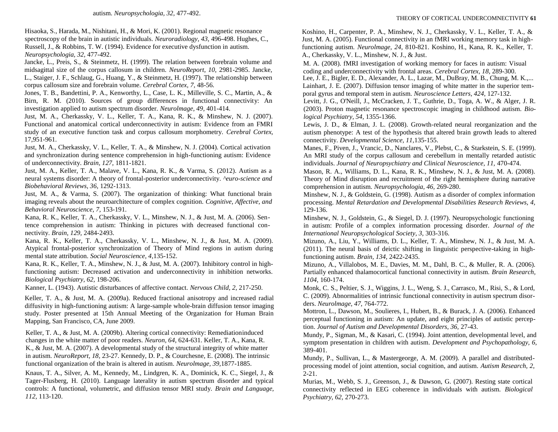Hisaoka, S., Harada, M., Nishitani, H., & Mori, K. (2001). Regional magnetic resonance spectroscopy of the brain in autistic individuals. *Neuroradiology, 43,* 496-498. Hughes, C., Russell, J., & Robbins, T. W. (1994). Evidence for executive dysfunction in autism. *Neuropsychologia, 32,* 477-492.

Jancke, L., Preis, S., & Steinmetz, H. (1999). The relation between forebrain volume and midsagittal size of the corpus callosum in children. *NeuroReport, 10,* 2981-2985. Jancke, L., Staiger, J. F., Schlaug, G., Huang, Y., & Steinmetz, H. (1997). The relationship between corpus callosum size and forebrain volume. *Cerebral Cortex, 7,* 48-56.

Jones, T. B., Bandettini, P. A., Kenworthy, L., Case, L. K., Milleville, S. C., Martin, A., & Birn, R. M. (2010). Sources of group differences in functional connectivity: An investigation applied to autism spectrum disorder. *Neurolmage, 49,* 401-414.

Just, M. A., Cherkassky, V. L., Keller, T. A., Kana, R. K., & Minshew, N. J. (2007). Functional and anatomical cortical underconnectivity in autism: Evidence from an FMRI study of an executive function task and corpus callosum morphometry. *Cerebral Cortex,* 17,951-961.

Just, M. A., Cherkassky, V. L., Keller, T. A., & Minshew, N. J. (2004). Cortical activation and synchronization during sentence comprehension in high-functioning autism: Evidence of underconnectivity. *Brain, 127,* 1811-1821.

Just, M. A., Keller, T. A., Malave, V. L., Kana, R. K., & Varma, S. (2012). Autism as a neural systems disorder: A theory of frontal-posterior underconnectivity. *^euro-science and Biobehavioral Reviews, 36,* 1292-1313.

Just, M. A., & Varma, S. (2007). The organization of thinking: What functional brain imaging reveals about the neuroarchitecture of complex cognition. *Cognitive, Affective, and Behavioral Neuroscience, 7,* 153-191.

Kana, R. K., Keller, T. A., Cherkassky, V. L., Minshew, N. J., & Just, M. A. (2006). Sentence comprehension in autism: Thinking in pictures with decreased functional connectivity. *Brain, 129,* 2484-2493.

Kana, R. K., Keller, T. A., Cherkassky, V. L., Minshew, N. J., & Just, M. A. (2009). Atypical frontal-posterior synchronization of Theory of Mind regions in autism during mental state attribution. *Social Neuroscience, 4,*135-152.

Kana, R. K., Keller, T. A., Minshew, N. J., & Just, M. A. (2007). Inhibitory control in highfunctioning autism: Decreased activation and underconnectivity in inhibition networks. *Biological Psychiatry, 62,* 198-206.

Kanner, L. (1943). Autistic disturbances of affective contact. *Nervous Child, 2,* 217-250.

Keller, T. A., & Just, M. A. (2009a). Reduced fractional anisotropy and increased radial diffusivity in high-functioning autism: A large-sample whole-brain diffusion tensor imaging study. Poster presented at 15th Annual Meeting of the Organization for Human Brain Mapping, San Francisco, CA, June 2009.

Keller, T. A., & Just, M. A. (2009b). Altering cortical connectivity: Remediationinduced changes in the white matter of poor readers. *Neuron, 64,* 624-631. Keller, T. A., Kana, R. K., & Just, M. A. (2007). A developmental study of the structural integrity of white matter in autism. *NeuroReport, 18,* 23-27. Kennedy, D. P., & Courchesne, E. (2008). The intrinsic functional organization of the brain is altered in autism. *Neurolmage, 39,*1877-1885.

Knaus, T. A., Silver, A. M., Kennedy, M., Lindgren, K. A., Dominick, K. C., Siegel, J., & Tager-Flusberg, H. (2010). Language laterality in autism spectrum disorder and typical controls: A functional, volumetric, and diffusion tensor MRI study. *Brain and Language, 112,* 113-120.

Koshino, H., Carpenter, P. A., Minshew, N. J., Cherkassky, V. L., Keller, T. A., & Just, M. A. (2005). Functional connectivity in an fMRI working memory task in highfunctioning autism. *Neurolmage, 24,* 810-821. Koshino, H., Kana, R. K., Keller, T. A., Cherkassky, V. L., Minshew, N. J., & Just.

M. A. (2008). fMRI investigation of working memory for faces in autism: Visual coding and underconnectivity with frontal areas. *Cerebral Cortex, 18,* 289-300.

Lee, J. E., Bigler, E. D., Alexander, A. L., Lazar, M., DuBray, M. B., Chung, M. K.,... Lainhart, J. E. (2007). Diffusion tensor imaging of white matter in the superior temporal gyrus and temporal stem in autism. *Neuroscience Letters, 424,* 127-132.

Levitt, J. G., O'Neill, J., McCracken, J. T., Guthrie, D., Toga, A. W., & Alger, J. R. (2003). Proton magnetic resonance spectroscopic imaging in childhood autism. *Biological Psychiatry, 54,* 1355-1366.

Lewis, J. D., & Elman, J. L. (2008). Growth-related neural reorganization and the autism phenotype: A test of the hypothesis that altered brain growth leads to altered connectivity. *Developmental Science, 11,*135-155.

Manes, F., Piven, J., Vrancic, D., Nanclares, V., Plebst, C., & Starkstein, S. E. (1999). An MRI study of the corpus callosum and cerebellum in mentally retarded autistic individuals. *Journal of Neuropsychiatry and Clinical Neuroscience, 11,* 470-474.

Mason, R. A., Williams, D. L., Kana, R. K., Minshew, N. J., & Just, M. A. (2008). Theory of Mind disruption and recruitment of the right hemisphere during narrative comprehension in autism. *Neuropsychologia, 46,* 269-280.

Minshew, N. J., & Goldstein, G. (1998). Autism as a disorder of complex information processing. *Mental Retardation and Developmental Disabilities Research Reviews, 4,*  129-136.

Minshew, N. J., Goldstein, G., & Siegel, D. J. (1997). Neuropsychologic functioning in autism: Profile of a complex information processing disorder. *Journal of the International Neuropsychological Society, 3,* 303-316.

Mizuno, A., Liu, Y., Williams, D. L., Keller, T. A., Minshew, N. J., & Just, M. A. (2011). The neural basis of deictic shifting in linguistic perspective-taking in highfunctioning autism. *Brain, 134,* 2422-2435.

Mizuno, A., Villalobos, M. E., Davies, M. M., Dahl, B. C., & Muller, R. A. (2006). Partially enhanced thalamocortical functional connectivity in autism. *Brain Research, 1104,* 160-174.

Monk, C. S., Peltier, S. J., Wiggins, J. L., Weng, S. J., Carrasco, M., Risi, S., & Lord, C. (2009). Abnormalities of intrinsic functional connectivity in autism spectrum disorders. *Neurolmage, 47,* 764-772.

Mottron, L., Dawson, M., Soulieres, I., Hubert, B., & Burack, J. A. (2006). Enhanced perceptual functioning in autism: An update, and eight principles of autistic perception. *Journal of Autism and Developmental Disorders, 36,* 27-43.

Mundy, P., Sigman, M., & Kasari, C. (1994). Joint attention, developmental level, and symptom presentation in children with autism. *Development and Psychopathology, 6,* 389-401.

Mundy, P., Sullivan, L., & Mastergeorge, A. M. (2009). A parallel and distributedprocessing model of joint attention, social cognition, and autism. *Autism Research, 2,*  2-21.

Murias, M., Webb, S. J., Greenson, J., & Dawson, G. (2007). Resting state cortical connectivity reflected in EEG coherence in individuals with autism. *Biological Psychiatry, 62,* 270-273.